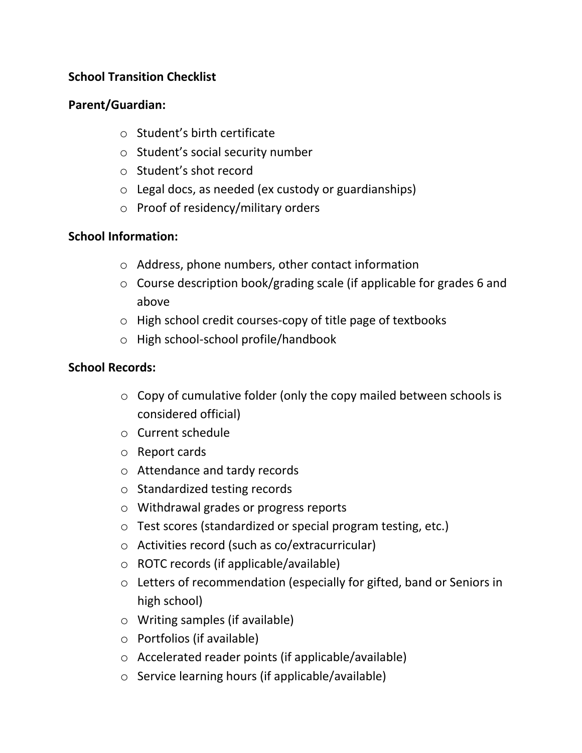#### **School Transition Checklist**

#### **Parent/Guardian:**

- o Student's birth certificate
- o Student's social security number
- o Student's shot record
- o Legal docs, as needed (ex custody or guardianships)
- o Proof of residency/military orders

# **School Information:**

- o Address, phone numbers, other contact information
- o Course description book/grading scale (if applicable for grades 6 and above
- o High school credit courses-copy of title page of textbooks
- o High school-school profile/handbook

# **School Records:**

- $\circ$  Copy of cumulative folder (only the copy mailed between schools is considered official)
- o Current schedule
- o Report cards
- o Attendance and tardy records
- o Standardized testing records
- o Withdrawal grades or progress reports
- o Test scores (standardized or special program testing, etc.)
- o Activities record (such as co/extracurricular)
- o ROTC records (if applicable/available)
- o Letters of recommendation (especially for gifted, band or Seniors in high school)
- o Writing samples (if available)
- o Portfolios (if available)
- o Accelerated reader points (if applicable/available)
- o Service learning hours (if applicable/available)